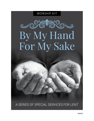

A SERIES OF SPECIAL SERVICES FOR LENT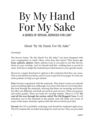## A SERIES OF SPECIAL SERVICES FOR LENT By My Hand For My Sake

About "By My Hand, For My Sake"

Greetings!

The Service Series "By My Hand? For My Sake!" has been designed with your congregation in mind. Okay, what does that mean? That means **options, options, options**. Many options exist as you plan to use this Service Series in your worship. And we should add this—nothing here is carved in stone. Feel free to adapt the materials provided herein to your specific needs.

However, a major drawback to options is the confusion that they can cause. This is one full Service Series, and it's easy to get lost in its pages. So, here are some pointers to help you get started.

**First**, become acquainted with the materials. That doesn't mean you should read everything right now (although, if you have the time it's not a bad idea). But look through the materials, noticing that there are monologs and homilies (they are different, and both are used in each service). There are prayers and music guides. There are notes for worship leaders. There is a CD. **Do read all the way through the section called The Old Rugged Cross.** It will introduce you to the materials in the packet, and will make you aware of some of the major, dramatic options that this Service Series provides.

**Second**, the CD is probably confusing, and should be explained right away. The CD contains the recorded monologs for each service. They are provided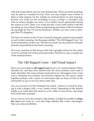with full sound effects and are read dramatically. These recorded monologs may be used in a number of ways. First, you may simply want to listen to them to help prepare for the reading (or memorization) of each monolog. Second, you could use the recordings in your worship—a recorded voice from an unseen speaker can carry a very somber mood, appropriate during the season of Lent. Third, you could provide a local radio station with this recording for use in their Lenten programming (purchase of this kit releases all copyright for the CD and its broadcast). Finally, you may want to disregard the CD altogether.

The first two tracks on the CD are a musical/dramatic prelude and postlude to each Lenten monolog. See the pages entitled "The Old Rugged Cross" for more information on their use. The last two tracks are the musical/dramatic prelude and postlude to the Easter monolog.

Of course, purchase of this kit provides full copyright release for the orders of service and the text of the promotional flier. Feel free to copy or adapt any of the material herein.

#### The Old Rugged Cross—Add Visual Impact

Have you ever made an **old rugged cross** to serve as a Lenten display? Many churches do, and they have learned that the more primitive and rustic it looks, the better. The most common material for an "old rugged cross" is last year's Christmas tree trunk(s), the branches lopped off, two pieces nailed together, perhaps with a piece of crisscrossed rope (or heavy twine) at the intersection to give it an even more rustic look.

You can even put it in the Christmas tree stand—which is covered by draping it with a purple cloth, a very Lenten accent. Depending on the desired height, you could place the stand on a low table or some boxes, and drape that whole base in purple.

If you want to carry the concept a step further, it might be possible to **drape the cross** each week in a way that helps identify that week's monologist. Here are some possibilities: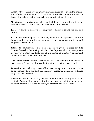**Adam or Eve**—Green ivy (or green with white accents), to evoke the impression of Eden, and perhaps of a futile attempt to make clothes for oneself of leaves. It would probably have to be plastic at this time of year.

**Nicodemus**—A Jewish prayer shawl, off-white to ivory in color, with some dark blue stripes at either end, and long white knotted fringes.

**Judas**—A stark black drape … along with some rope, giving the hint of a noose.

**Barabbas**—Something in a dirty brown, perhaps of burlap—best if torn and tattered and very rumpled. A chain (suggesting manacles, imprisonment) might also be involved.

**Pilate**—The impression of a Roman toga can be given to a piece of white (or off-white) cloth by sewing to its hem that "up-over-down-over-up-overdown-over" pattern that looks sort of like the top of a castle. A pitcher and bowl might be at the foot of the cross.

**The Thief's Father**—Instead of cloth, this week's draping could be made of heavy ropes. A crown of thorns might be attached to the cross as well.

**Peter**—Fish net, including corks and bobbers, perhaps with a bunch of grapes and a sheaf of wheat attached. For Maundy Thursday, a Communion chalice might also be involved.

**Centurion**—For Good Friday, the cross might well be starkly bare. If the centurion's red military cape is draping the cross through the monolog, he reverently removes it when he leaves, so that then the cross is bare.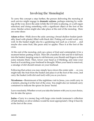#### Involving the Monologist

To carry this concept a step further, the person delivering the monolog at each service might engage in **dramatic actions**, perhaps entering by walking all the way down the aisle (while the CD intro is playing, or a soft organ selection) and doing something with a significant object at the foot of the cross. Similar action might also take place at the end of the monolog. Here are some ideas:

**Adam or Eve**—Walk down the aisle carrying a broad shallow basket (probably lined with plastic) filled with black dirt. Potting soil would work very well. In the basket might also be a gardening tool such as a trowel … and maybe also some fruit, like pears and/or apples. Place it at the foot of the cross.

At the end of the monolog, pick up a piece of fruit and contemplate it for a moment before putting it back. Then lift a handful of dirt and let it fall back into the basket, keeping some to rub between your thumb and fingers so that some remains there. Then, lower your head as if thinking, and raise your hand as if scratching your forehead in thought. When your hand is removed, a smudge of dirt should remain on your forehead.

Following that action you may simply leave down the center aisle … or, you might take the fruit from the basket and place it at the foot of the cross, and carry the basket (with dirt and tool) with you as you leave.

**Nicodemus**—Reminiscent of the nighttime visit to Jesus, you could carry in a lantern, placing it at the foot of the cross. You might also (or instead) carry containers to indicate the spices for Jesus' burial.

Leave resolutely. Whether or not you take the lantern with you is your choice, but do take the spices.

**Judas**—Carry in a money bag with large coins inside (someone's collection of half-dollars or silver dollars would be most appropriate!). Drop it heavily at the foot of the cross.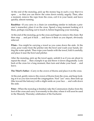At the end of the monolog, pick up the money bag in such a way that it is open … so that you can throw the coins down noisily, angrily. Then, after a moment, remove the rope from the cross, coil it in your hand, and leave quickly, almost running.

**Barabbas**—If you carry in a chain (or something similar to indicate a prisoner's manacles), place it on the cross. Spend a long moment looking at it there, perhaps reaching out to touch it, before beginning your monolog.

At the end of the monolog, go to the cross and begin to remove the chain. But then stop … and put it back … and leave it there as you depart, obviously relieved.

**Pilate**—You might be carrying a towel as you come down the aisle. At the cross, pour water from the pitcher into the bowl and wash your hands, letting the water splash. Then wipe your hands with the towel, fold it carefully, and place it near the bowl and pitcher.

After the monolog, pick up the towel again, unfold it as if you are about to repeat the ritual … then crumple it up and throw it down disgustedly. Look back at the cross for a long moment, then turn and shake your head … and leave.

**The Thief's Father**—Carry in the crown of thorns and place it on the cross.

At the end, gently remove the crown of thorns from the cross, and keep looking at it as you turn toward the congregation. Nod "yes" once, then look up (like toward the balcony) with a slight smile on your face … and walk down the aisle.

**Peter**—When the monolog is finished, take the Communion chalice from the foot of the cross and carry it reverently to the altar, where it will soon be used in the Maundy Thursday celebration of the Eucharist.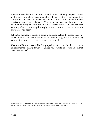**Centurion**—Unless the cross is to be left bare, or is already draped … enter with a piece of material that resembles a Roman soldier's red cape, either carried on your arm or draped over your shoulder. With almost military precision, drape it over the cross. Whether or not you use the cape, come to attention facing the cross and give it a "Roman salute"—make a fist with your right hand and thump it sharply on your chest in the area of your left shoulder. Then begin.

When the monolog is finished, come to attention before the cross again. Remove the drape and fold it almost as you would a flag. You are not wearing your military cape as you leave, simply carrying it.

**Costumes?** Not necessary. The few props indicated here should be enough to let imagination have its way … Unless you want to, of course. But in that case, do them well.

*By Arden W. Mead. © 1996/2011 by Creative Communications for the Parish, 1564 Fencorp Dr., Fenton, MO 63026. 1-800-325-9414. www.creativecommunications.com. All rights reserved. Printed in the USA.*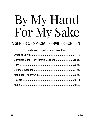# By My Hand For My Sake

### A SERIES OF SPECIAL SERVICES FOR LENT

| Ash Wednesday • Adam/Eve                  |  |
|-------------------------------------------|--|
|                                           |  |
| Complete Script For Worship Leaders 16-28 |  |
|                                           |  |
|                                           |  |
|                                           |  |
|                                           |  |
|                                           |  |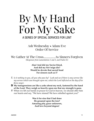### A SERIES OF SPECIAL SERVICES FOR LENT By My Hand For My Sake

Ash Wednesday • Adam/Eve Order Of Service

We Gather At The Cross................... As Sinners Forgiven *(Responses from Lamentations 1 and 3, and Psalm 51)*

> **Alas! And did my Savior bleed, And did my Sov'reign die? Would he devote that sacred head For sinners such as I?**

- L *Is it nothing to you, all you who pass by? Look and see if there is any sorrow like my sorrow which was brought upon me, which the Lord inflicted on the day of his fierce anger.*
- C **My transgressions are like a yoke about my neck, fastened by the hand of the Lord. They weigh so heavily upon me that my strength is gone.**
- P When we lift our hands in prayer to God in heaven, we should offer him our hearts and say, "We have sinned! We have rebelled against you!"

**Was it for sins that I had done He groaned upon the tree? Amazing pity, grace unknown, And love beyond degree!**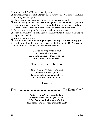- P You are kind, God! Please have pity on me.
- C **You are always merciful! Please wipe away my sins. Wash me clean from all of my sin and guilt.**
- P I know about my sins, and I cannot forget my terrible guilt.
- C **You are really the one I have sinned against. I have disobeyed you and have done great wrong. So it is right and fair for you to correct and punish me. I have sinned and done wrong since the day I was born.**
- P But you want complete honesty, so teach me true wisdom.
- C **Wash me with hyssop until I am clean and whiter than snow. Let me be happy and joyful!**
- P You crushed my bones,
- C **now let them celebrate. Turn your eyes from my sin and cover my guilt.**
- P Create pure thoughts in me and make me faithful again. Don't chase me away from you or take your Holy Spirit from me.

**O Hope of ev'ry contrite soul, O Joy of all the meek, How kind you are to those who fall, How good to those who seek!**

#### The Prayer Of The Day

**To God all glory, praise, and love Be now and ever giv'n By saints below and saints above, The Church in earth and heav'n.**

#### Homily

Hymn....................................................... "Yet Even Now"

**"Yet even now," thus says the Lord, "Return to me with all your heart, With fasting and with tears of grief; Your hearts, and not your garments, part."**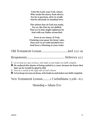| Unto the Lord, your God, return,<br>Who sends his mercy from above;<br>For he is gracious, slow to wrath,<br>And he abounds in steadfast love.                                                                                                                                                                                                                              |
|-----------------------------------------------------------------------------------------------------------------------------------------------------------------------------------------------------------------------------------------------------------------------------------------------------------------------------------------------------------------------------|
| The sinless Son of God was made,<br>For us, the One by sin defiled,<br>That we in him might righteous be<br>And with our Father reconciled.                                                                                                                                                                                                                                 |
| Even as we return, O God,<br>Claiming your grace for Jesus' sake,<br>Turn now to us with heartfelt love<br>And leave a blessing in your wake.                                                                                                                                                                                                                               |
|                                                                                                                                                                                                                                                                                                                                                                             |
|                                                                                                                                                                                                                                                                                                                                                                             |
| $\mathbb U$ Let us keep our eyes on Jesus, who leads us and makes our faith complete.<br><b>E</b> He endured the shame of being nailed to a cross, because he knew that<br>later on he would be glad he did.<br>$\mathbb D$ Now he is seated at the right side of God's throne.<br>$\blacksquare$ Let us keep our eyes on Jesus, who leads us and makes our faith complete. |

New Testament Lesson ......... 2 Corinthians 5:20b-6:2

#### Monolog • Adam/Eve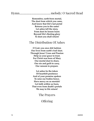**Remember, earth-born mortal, The dust from which you came, And know that life's last portal Returns you to the same! Let ashes tell the story, From dust its lesson learn: Beyond life's fleeting glory To dust you shall return!**

#### The Distribution Of Ashes

**O God, you once did fashion Our lives from earth's frail dust. Through Jesus' Cross and Passion Help us your grace to trust. For Christ was born of Mary Our mortal dust to share, Our sin and guilt to carry, Our ransom to prepare.**

**Let ashes be the token Of heartfelt penitence And of your promise spoken To raise our bodies hence. Have mercy on us mortals! Let faith within us burn, That even from death's portals We may to life return!**

#### The Prayers

#### **Offering**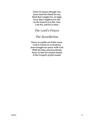**Chief of sinners though I be, Jesus shed his blood for me, Died that I might live on high, Lives that I might never die. As the branch is to the vine, I am his, and he is mine.**

#### The Lord's Prayer

#### The Benediction

**Peace, to soothe our bitter woes, God in Christ on us bestows; Jesus bought our peace with God With his holy, precious blood; Peace in him for sinners found Is the Gospel's joyful sound.**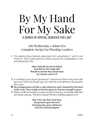### A SERIES OF SPECIAL SERVICES FOR LENT By My Hand For My Sake

Ash Wednesday • Adam/Eve Complete Script For Worship Leaders

• The opening litany features responses from Lamentations 1 and 3, and Psalm 51, and is interrupted by verses sung by the congregation to the tune Martyrdom CM:

> **Alas! And did my Savior bleed, And did my Sov'reign die? Would he devote that sacred head For sinners such as I?**

- L *Is it nothing to you, all you who pass by? Look and see if there is any sorrow like my sorrow which was brought upon me, which the Lord inflicted on the day of his fierce anger.*
- C **My transgressions are like a yoke about my neck, fastened by the hand of the Lord. They weigh so heavily upon me that my strength is gone.**
- P When we lift our hands in prayer to God in heaven, we should offer him our hearts and say, "We have sinned! We have rebelled against you!"

**Was it for sins that I had done He groaned upon the tree? Amazing pity, grace unknown, And love beyond degree!**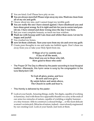- P You are kind, God! Please have pity on me.
- C **You are always merciful! Please wipe away my sins. Wash me clean from all of my sin and guilt.**
- P I know about my sins, and I cannot forget my terrible guilt.
- C **You are really the one I have sinned against. I have disobeyed you and have done great wrong. So it is right and fair for you to correct and punish me. I have sinned and done wrong since the day I was born.**
- P But you want complete honesty, so teach me true wisdom.
- C **Wash me with hyssop until I am clean and whiter than snow. Let me be happy and joyful!**
- P You crushed my bones,
- C **now let them celebrate. Turn your eyes from my sin and cover my guilt.**
- P Create pure thoughts in me and make me faithful again. Don't chase me away from you or take your Holy Spirit from me.

**O Hope of ev'ry contrite soul, O Joy of all the meek, How kind you are to those who fall, How good to those who seek!**

• The Prayer Of The Day is offered by the pastor according to local liturgical tradition. Afterwards, this hymn verse is sung by the congregation to the tune Martyrdom CM:

> **To God all glory, praise, and love Be now and ever giv'n By saints below and saints above, The Church in earth and heav'n.**

- This Homily is delivered by the pastor:
- P Look at your hands. Amazing things, really. Ten digits, capable of working in harmony. And with those two opposable thumbs we carry at the ends of our arms two miracles of nature, capable of wielding a mighty hammer ... or a tiny tweezer. Able to construct a colossal bridge ... or the most delicate woman's wristwatch. Miracles of nature, indeed—marvelously engineered by our creating God. Look at your hands. Just look at them.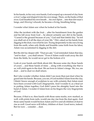In his hands, in his very own hands, God scooped up a mound of clay from a river's edge and shaped it into his own image. There, on the banks of that river, God breathed his own breath ... his own Spirit ... into that dirt-man's lungs, and *(blowing)* whoosh, he became a living, breathing being.

I wonder what Adam saw when he looked at his hands.

After the incident with the fruit ... after his banishment from the garden and his fall away from God ... he almost certainly saw dirt in his hands. "Cursed is the ground because of you," God said that fateful day. "In toil you shall eat of it all the days of your life." Dirt, caked on his hands from digging in the dust, was what he saw. Trying desperately to eke out a living from the earth, when only thistle and bramble came forth from his labor, Adam was accustomed to digging in the dirt.

But the dirt lay deeper still. "Dust *you are*," God reminded Adam that day, "and to dust ... you shall return." Even if Adam could wash away the dirt from the fields, he would never get to the bottom of it.

Look at your hands and think about dirt. Because some day those hands of yours ... and these hands of mine ... along with everything else that is us, will yield again to the dust. We are born in Adam's image. We, too, are dust ... and to dust we shall return.

But I also wonder whether Adam didn't see more than just dust when he gazed into his hands. Because, you see, if God molded Adam from the clay, I think I know enough of sculpture to say with certainty that Adam must have been covered with God's fingerprints. And I wonder if, as a final act in putting Adam together, God didn't press his almighty hand into the hand of Adam. I wonder if Adam bore on his fingers the very fingerprints of God.

Because, if that is so, then hands with those same marks, now marked, as well, with prints from nails, would one day rise from the dust again. And those same hands would beckon Adam and Eve and all children of dust to rise as well. Good news will follow, children of dust. Good news, indeed. But for now ... consider ... dust.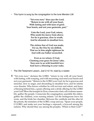• This hymn is sung by the congregation to the tune Mendon LM:

**"Yet even now," thus says the Lord, "Return to me with all your heart, With fasting and with tears of grief; Your hearts, and not your garments, part."**

**Unto the Lord, your God, return, Who sends his mercy from above; For he is gracious, slow to wrath, And he abounds in steadfast love.**

**The sinless Son of God was made, For us, the One by sin defiled, That we in him might righteous be And with our Father reconciled.**

**Even as we return, O God, Claiming your grace for Jesus' sake, Turn now to us with heartfelt love And leave a blessing in your wake.**

- The Old Testament Lesson, Joel 2:12-19, read by a reader:
- R "Yet even now," declares the LORD, "return to me with all your heart, with fasting, with weeping, and with mourning; and rend your hearts and not your garments." Return to the LORD your God, for he is gracious and merciful, slow to anger, and abounding in steadfast love; and he relents over disaster. Who knows whether he will not turn and relent, and leave a blessing behind him, a grain offering and a drink offering for the LORD your God? Blow the trumpet in Zion; consecrate a fast; call a solemn assembly; gather the people. Consecrate the congregation; assemble the elders; gather the children, even nursing infants. Let the bridegroom leave his room, and the bride her chamber. Between the vestibule and the altar let the priests, the ministers of the LORD, weep and say, "Spare your people, O LORD, and make not your heritage a reproach, a byword among the nations. Why should they say among the peoples, 'Where is their God?'"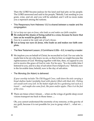Then the LORD became jealous for his land and had pity on his people. The LORD answered and said to his people,"Behold, I am sending to you grain, wine, and oil, and you will be satisfied; and I will no more make you a reproach among the nations.

- This Responsory from Hebrews 12:2 is shared between a reader and the congregation:
- L *Let us keep our eyes on Jesus, who leads us and makes our faith complete.*
- C **He endured the shame of being nailed to a cross, because he knew that later on he would be glad he did.**
- L *Now he is seated at the right side of God's throne.*
- C **Let us keep our eyes on Jesus, who leads us and makes our faith complete.**
- The New Testament Lesson, 2 Corinthians 5:20b—6:2, is read by a reader:
- $\mathbb R$  We implore you on behalf of Christ, be reconciled to God. For our sake he made him to be sin who knew no sin, so that in him we might become the righteousness of God. Working together with him, then, we appeal to you not to receive the grace of God in vain. For he says, "In a favorable time I listened to you, and in a day of salvation I have helped you." Behold, now is the favorable time; behold, now is the day of salvation.
- The Monolog (for Adam) is delivered:

*If your worship includes The Old Rugged Cross, walk down the aisle carrying a broad shallow basket (probably lined with plastic) filled with black dirt. Potting soil would work very well. In the basket might also be a gardening tool such as a trowel … and maybe also some fruit, like pears and/or apples. Place it at the foot of the cross.*

**R** There are times when I dream ... when on the wings of gentle sleep sweet visions transport me back to those times ....

Oh, you cannot understand the enormity of my remorse, or the gravity of my guilt, because it is not possible for you to grasp what I ... what we ... lost.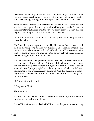Even now the memory of it fades. Even now the thoughts of Eden ... that heavenly garden ... slip away from me as the memory of a dream recedes with the morning, leaving only the empty shells of emotion in its wake.

There are times, of course, when I think of it as I labor—as I scratch and dig at this accursed ground, watering the dirt with my sweat—the furrows in the soil matching, line for line, the furrows of my brow. It is then that the regret is the strongest ... and the anger ... and the loss.

But it is in the dreams that I am whisked away, most completely, most innocently, to the way it was.

Oh, Eden, that glorious garden, planted by God, where birds never ceased in their morning song and flowers bloomed, uncoaxed, in magnificent, rainbow hues; where wolves frolicked with bobcats and lions snoozed with lambs. I made my bed, one time, upon the downy belly of a bear, lulled to sleep by his gentle, cavernous snoring.

It never rained there. Did you know that? The always-blue sky bore on its back the most pillowy of clouds. But never did it cloud over. Never was the sun completely hidden from our sight. Not that there was a lack of water. Oh, no! Springs gurgled with their icy issues, which tumbled over smooth stones and through grassy meadows. And that miraculous morning mist—it watered the ground and filled the air with such delightful, earthy aromas.

*(Still dreamy)* And the fruit ...

*(With gravity)* The fruit.

There's the rub.

Because it wasn't just the garden—the sights and sounds, the aromas and the flavors, the feeling and the peace.

It was Him. When we walked with Him in the deepening dusk, talking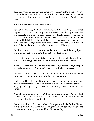over the events of the day. When we lay, together, in the afternoon sunshine. When we ate with Him, and drank, and shared. When He opened His magnificent mouth ... and began to sing. Oh, the music. You have no idea.

You could not believe how close He was.

You call it, I'm told, the Fall—what happened there in the garden, what happened with me and with my wife. The word is very descriptive—Fall and accurate as well. For that is exactly how it feels. Because, you see, as much as I would like to blame someone else—that snake, my wife, even God (and I did all three that fateful day—"The *woman* ... which *you* gave to be with me ... she gave me fruit from the tree and I ate."), as much as I would like to blame anybody else ... it was I who fell away.

I took that fruit ... I wrapped my hands around it ... and then my lips ... and then my teeth ... and I ate it. I disobeyed. I fell away.

It was not God who turned His back. No. In fact, He searched me out, running through the garden until He found me, hidden in my shame.

No one is to blame but me. It was by my hand ... by my own hand, wrapped around that wretched fruit, that I have received what I deserved.

I fell—fell out of the garden, away from the earth and the animals, away from my wife, away from immortality ... and away from Him.

Earth man, He called me. Dirt man ... Dusty. That's what Adam means. That's what his Hands can do. He formed me out of the dust of the ground shaping, molding, gently caressing me, breathing His own breath into my lungs.

And when my hands go to work? "Remember you are dust—Adam—dust ... and to dust you shall return." That is the result of my handiwork. By His hand ... life. By my hand ... death.

I know what love is. I know, firsthand, how powerful it is. And so I know, too, deep within, that He is still chasing me. He will continue to love me ... love me so strongly that it will hurt Him—terribly.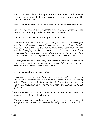And so, as I stand here, laboring over this dirt, to which I will one day return, I look to the day that He promised would come—the day when He will come back for me.

And I wonder how much it will hurt Him. I wonder what the cost will be.

For, it was by my hand, clutching that fruit, hiding my face, weaving those clothes ... it was by my hand that all of this is necessary.

And it is for my sake that He will fight to win me back.

*If your worship includes The Old Rugged Cross, at the end of the monolog, pick up a piece of fruit and contemplate it for a moment before putting it back. Then lift a handful of dirt and let it fall back into the basket, keeping some to rub between your thumb and fingers so that some remains there. Then lower your head as if thinking, and raise your hand as if scratching your forehead in thought. When your hand is removed, a smudge of dirt should remain on your forehead.* 

*Following that action you may simply leave down the center aisle … or, you might take the fruit from the basket and place it at the foot of the cross, and carry the basket (with dirt and tool) with you as you leave.*

• Or the Monolog (for Eve) is delivered:

*If your worship includes The Old Rugged Cross, walk down the aisle carrying a broad shallow basket (probably lined with plastic) filled with black dirt. Potting soil would work very well. In the basket might also be a gardening tool such as a trowel … and maybe also some fruit, like pears and/or apples. Place it at the foot of the cross.*

 $\mathbb{R}$  There are times when I dream ... when on the wings of gentle sleep sweet visions transport me back to those times ....

Oh, you cannot understand the enormity of my remorse, or the gravity of my guilt, because it is not possible for you to grasp what I ... what we ... lost.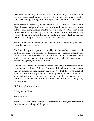Even now the memory of it fades. Even now the thoughts of Eden ... that heavenly garden ... slip away from me as the memory of a dream recedes with the morning, leaving only the empty shells of emotion in its wake.

There are times, of course, when I think of it as I labor—as I scratch and dig at this accursed ground, watering the dirt with my sweat—the furrows in the soil matching, line for line, the furrows of my brow. Or, when in the throes of childbirth, when my body strains to bring those children into this world, when pain shooting through my limbs and head—it is then that the regret is the strongest ... and the anger ... and the loss.

But it is in the dreams that I am whisked away, most completely, most innocently, to the way it was.

Oh, Eden, that glorious garden, planted by God, where birds never ceased in their morning song and flowers bloomed, uncoaxed, in magnificent, rainbow hues; where wolves frolicked with bobcats and lions snoozed with lambs. I made my bed, one time, upon the downy belly of a bear, lulled to sleep by his gentle, cavernous snoring.

It never rained there. Did you know that? The always-blue sky bore on its back the most pillowy of clouds. But never did it cloud over. Never was the sun completely hidden from our sight. Not that there was a lack of water. Oh, no! Springs gurgled with their icy issues, which tumbled over smooth stones and through grassy meadows. And that miraculous morning mist—it watered the ground and filled the air with such delightful, earthy aromas.

*(Still dreamy)* And the fruit ...

*(With gravity)* The fruit.

There's the rub.

Because it wasn't just the garden—the sights and sounds, the aromas and the flavors, the feeling and the peace.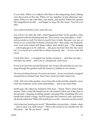It was Him. When we walked with Him in the deepening dusk, talking over the events of the day. When we lay, together, in the afternoon sunshine. When we ate with Him, and drank, and shared. When He opened His magnificent mouth ... and began to sing. Oh, the music. You have no idea.

You could not believe how close He was.

You call it, I'm told, the Fall—what happened there in the garden, what happened with my husband and me. The word is very descriptive—Fall and accurate as well. For that is exactly how it feels. Because, you see, as much as we would like to blame someone else—that snake, my husband, even God (and Adam did blame others that fateful day—"The *woman* ... which *you* gave to be with me ... she gave me fruit from the tree and I ate."), as much as I would like to blame anybody else ... it was I who fell away.

I took that fruit ... I wrapped my hands around it ... and then my lips ... and then my teeth ... and I ate it. I disobeyed. I fell away.

It was not God who turned His back. No. In fact, He searched us out, running through the garden until He found us, hidden in our shame.

No one is to blame but me. It was by my hand ... by my own hand, wrapped around that wretched fruit, that I have received what I deserved.

I fell—fell out of the garden, away from the earth and the animals, away from my husband, away from immortality ... and away from Him.

Earth man, He called my husband. Dirt man ... Dusty. That's what Adam means. That's what His hands can do. He formed Adam out of the dust of the ground—shaping, molding, gently caressing Him, breathing His own breath into Adam's lungs. And he dug into His creation's side, and from a rib handcrafted me! When His hands go to work—miracles are the result!

And when my hands go to work? "Remember you are dust—Adam—dust ... and to dust you shall return." That is the result of my handiwork. By His hand ... life. By my hand ... death.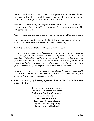I know what love is. I know, firsthand, how powerful it is. And so I know, too, deep within, that He is still chasing me. He will continue to love me ... love me so strongly that it will hurt him—terribly.

And so, as I stand here, laboring over this dirt, to which I will one day return, I look to the day that He promised would come—the day when He will come back for me.

And I wonder how much it will hurt Him. I wonder what the cost will be.

For, it was by my hand, clutching that fruit, hiding my face, weaving those clothes ... it was by my hand that all of this is necessary.

And it is for my sake that He will fight to win me back.

*If your worship includes The Old Rugged Cross, at the end of the monolog, pick up a piece of fruit and contemplate it for a moment before putting it back. Then lift a handful of dirt and let it fall back into the basket, keeping some to rub between your thumb and fingers so that some remains there. Then lower your head as if thinking, and raise your hand as if scratching your forehead in thought. When your hand is removed, a smudge of dirt should remain on your forehead.* 

*Following that action you may simply leave down the center aisle … or, you might take the fruit from the basket and place it at the foot of the cross, and carry the basket (with dirt and tool) with you as you leave.*

• This Hymn is sung by the congregation to the tune *Herzlich Tut Mich Verlangen 76 76 D*:

> **Remember, earth-born mortal, The dust from which you came, And know that life's last portal Returns you to the same! Let ashes tell the story, From dust its lesson learn: Beyond life's fleeting glory To dust you shall return!**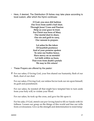• Here, if desired, The Distribution Of Ashes may take place according to local custom, after which the Hymn continues:

> **O God, you once did fashion Our lives from earth's frail dust. Through Jesus' Cross and Passion Help us your grace to trust. For Christ was born of Mary Our mortal dust to share, Our sin and guilt to carry, Our ransom to prepare.**

**Let ashes be the token Of heartfelt penitence And of your promise spoken To raise our bodies hence. Have mercy on us mortals! Let faith within us burn, That even from death's portals We may to life return!**

- These Prayers are offered by the pastor:
- P For our sakes, O loving God, your Son shared our humanity, flesh of our flesh, dust of our dust.

For our sakes, O loving God, our sinless Savior took our sin upon himself, its guilt and punishment.

For our sakes, he resisted all that might have tempted him to turn aside from your holy will, to violate your Word.

For our sakes, he took up the cross, and gave his life upon it.

For his sake, O God, stretch out *your* loving hand to fill *our* hands with *his* fullness. Loosen our grasp on the things of this world and free our wills from covetousness. Give us the strength and determination to resist temp-